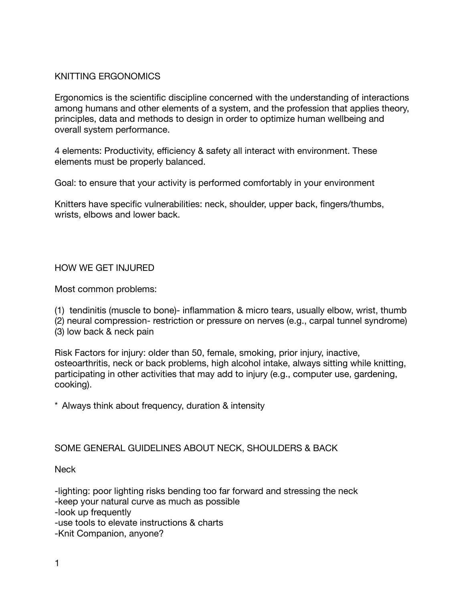### KNITTING ERGONOMICS

Ergonomics is the scientific discipline concerned with the understanding of interactions among humans and other elements of a system, and the profession that applies theory, principles, data and methods to design in order to optimize human wellbeing and overall system performance.

4 elements: Productivity, efficiency & safety all interact with environment. These elements must be properly balanced.

Goal: to ensure that your activity is performed comfortably in your environment

Knitters have specific vulnerabilities: neck, shoulder, upper back, fingers/thumbs, wrists, elbows and lower back.

### HOW WE GET INJURED

Most common problems:

(1) tendinitis (muscle to bone)- inflammation & micro tears, usually elbow, wrist, thumb

(2) neural compression- restriction or pressure on nerves (e.g., carpal tunnel syndrome) (3) low back & neck pain

Risk Factors for injury: older than 50, female, smoking, prior injury, inactive, osteoarthritis, neck or back problems, high alcohol intake, always sitting while knitting, participating in other activities that may add to injury (e.g., computer use, gardening, cooking).

\* Always think about frequency, duration & intensity

### SOME GENERAL GUIDELINES ABOUT NECK, SHOULDERS & BACK

**Neck** 

-lighting: poor lighting risks bending too far forward and stressing the neck -keep your natural curve as much as possible -look up frequently

-use tools to elevate instructions & charts

-Knit Companion, anyone?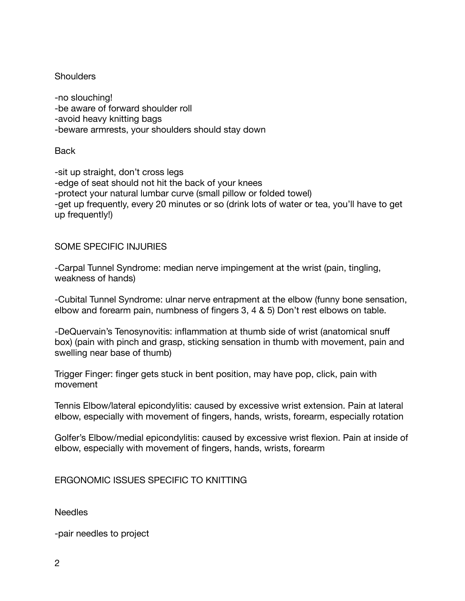### **Shoulders**

-no slouching! -be aware of forward shoulder roll -avoid heavy knitting bags -beware armrests, your shoulders should stay down

**Back** 

-sit up straight, don't cross legs -edge of seat should not hit the back of your knees -protect your natural lumbar curve (small pillow or folded towel) -get up frequently, every 20 minutes or so (drink lots of water or tea, you'll have to get up frequently!)

# SOME SPECIFIC INJURIES

-Carpal Tunnel Syndrome: median nerve impingement at the wrist (pain, tingling, weakness of hands)

-Cubital Tunnel Syndrome: ulnar nerve entrapment at the elbow (funny bone sensation, elbow and forearm pain, numbness of fingers 3, 4 & 5) Don't rest elbows on table.

-DeQuervain's Tenosynovitis: inflammation at thumb side of wrist (anatomical snuff box) (pain with pinch and grasp, sticking sensation in thumb with movement, pain and swelling near base of thumb)

Trigger Finger: finger gets stuck in bent position, may have pop, click, pain with movement

Tennis Elbow/lateral epicondylitis: caused by excessive wrist extension. Pain at lateral elbow, especially with movement of fingers, hands, wrists, forearm, especially rotation

Golfer's Elbow/medial epicondylitis: caused by excessive wrist flexion. Pain at inside of elbow, especially with movement of fingers, hands, wrists, forearm

ERGONOMIC ISSUES SPECIFIC TO KNITTING

Needles

-pair needles to project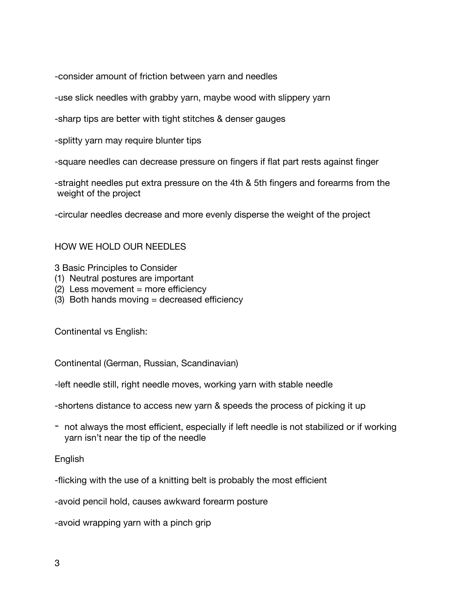-consider amount of friction between yarn and needles

-use slick needles with grabby yarn, maybe wood with slippery yarn

-sharp tips are better with tight stitches & denser gauges

-splitty yarn may require blunter tips

-square needles can decrease pressure on fingers if flat part rests against finger

-straight needles put extra pressure on the 4th & 5th fingers and forearms from the weight of the project

-circular needles decrease and more evenly disperse the weight of the project

### HOW WE HOLD OUR NEEDLES

3 Basic Principles to Consider

- (1) Neutral postures are important
- (2) Less movement = more efficiency
- (3) Both hands moving = decreased efficiency

Continental vs English:

Continental (German, Russian, Scandinavian)

-left needle still, right needle moves, working yarn with stable needle

-shortens distance to access new yarn & speeds the process of picking it up

- not always the most efficient, especially if left needle is not stabilized or if working yarn isn't near the tip of the needle

#### English

-flicking with the use of a knitting belt is probably the most efficient

-avoid pencil hold, causes awkward forearm posture

-avoid wrapping yarn with a pinch grip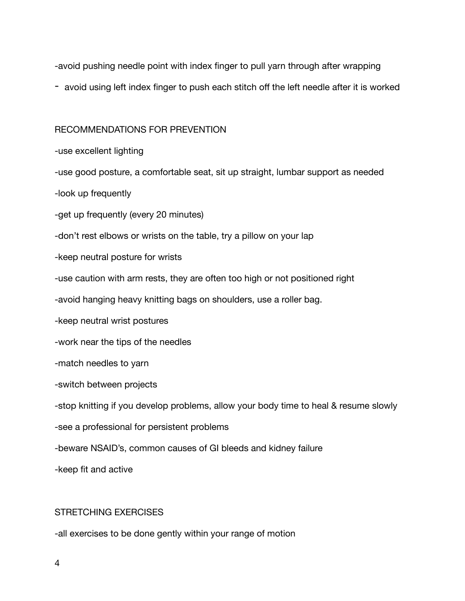-avoid pushing needle point with index finger to pull yarn through after wrapping

- avoid using left index finger to push each stitch off the left needle after it is worked

#### RECOMMENDATIONS FOR PREVENTION

-use excellent lighting

-use good posture, a comfortable seat, sit up straight, lumbar support as needed

-look up frequently

-get up frequently (every 20 minutes)

-don't rest elbows or wrists on the table, try a pillow on your lap

-keep neutral posture for wrists

-use caution with arm rests, they are often too high or not positioned right

-avoid hanging heavy knitting bags on shoulders, use a roller bag.

-keep neutral wrist postures

-work near the tips of the needles

-match needles to yarn

-switch between projects

-stop knitting if you develop problems, allow your body time to heal & resume slowly

-see a professional for persistent problems

-beware NSAID's, common causes of GI bleeds and kidney failure

-keep fit and active

### STRETCHING EXERCISES

-all exercises to be done gently within your range of motion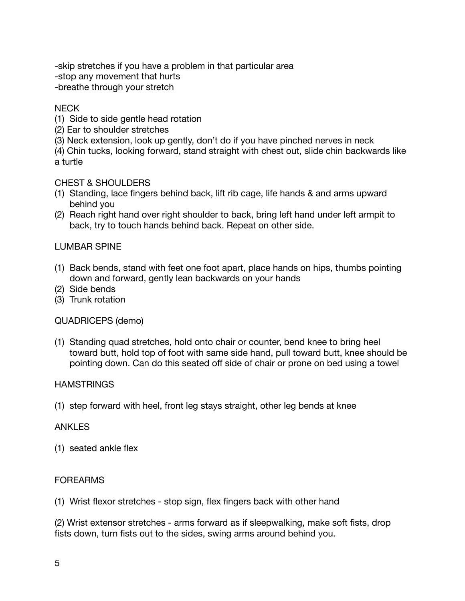-skip stretches if you have a problem in that particular area

-stop any movement that hurts

-breathe through your stretch

## **NECK**

- (1) Side to side gentle head rotation
- (2) Ear to shoulder stretches
- (3) Neck extension, look up gently, don't do if you have pinched nerves in neck

(4) Chin tucks, looking forward, stand straight with chest out, slide chin backwards like a turtle

# CHEST & SHOULDERS

- (1) Standing, lace fingers behind back, lift rib cage, life hands & and arms upward behind you
- (2) Reach right hand over right shoulder to back, bring left hand under left armpit to back, try to touch hands behind back. Repeat on other side.

### LUMBAR SPINE

- (1) Back bends, stand with feet one foot apart, place hands on hips, thumbs pointing down and forward, gently lean backwards on your hands
- (2) Side bends
- (3) Trunk rotation

### QUADRICEPS (demo)

(1) Standing quad stretches, hold onto chair or counter, bend knee to bring heel toward butt, hold top of foot with same side hand, pull toward butt, knee should be pointing down. Can do this seated off side of chair or prone on bed using a towel

### **HAMSTRINGS**

(1) step forward with heel, front leg stays straight, other leg bends at knee

### ANKLES

(1) seated ankle flex

# FOREARMS

(1) Wrist flexor stretches - stop sign, flex fingers back with other hand

(2) Wrist extensor stretches - arms forward as if sleepwalking, make soft fists, drop fists down, turn fists out to the sides, swing arms around behind you.